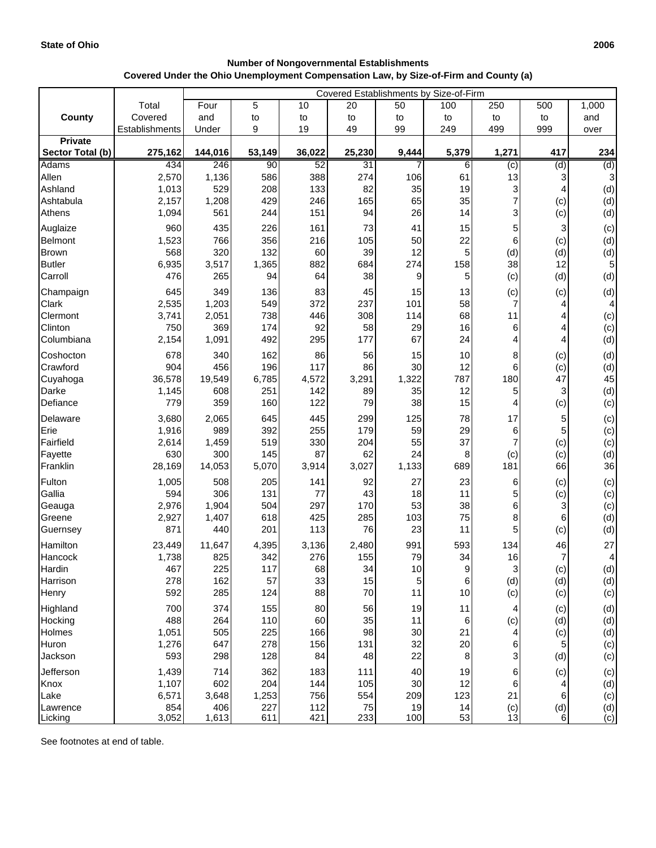$\Gamma$ 

l,

| <b>Number of Nongovernmental Establishments</b><br>Covered Under the Ohio Unemployment Compensation Law, by Size-of-Firm and County (a) |                                        |  |    |    |    |     |     |     |  |  |  |  |
|-----------------------------------------------------------------------------------------------------------------------------------------|----------------------------------------|--|----|----|----|-----|-----|-----|--|--|--|--|
|                                                                                                                                         | Covered Establishments by Size-of-Firm |  |    |    |    |     |     |     |  |  |  |  |
| $\tau$ otal                                                                                                                             | Four                                   |  | 10 | 20 | 50 | 100 | 250 | 500 |  |  |  |  |

|                  | Total          | Four         | 5      | 10         | 20        | 50       | 100      | 250                                                    | 500            | 1,000 |
|------------------|----------------|--------------|--------|------------|-----------|----------|----------|--------------------------------------------------------|----------------|-------|
| <b>County</b>    | Covered        | and          | to     | to         | to        | to       | to       | to                                                     | to             | and   |
|                  | Establishments | Under        | 9      | 19         | 49        | 99       | 249      | 499                                                    | 999            | over  |
| <b>Private</b>   |                |              |        |            |           |          |          |                                                        |                |       |
| Sector Total (b) | 275,162        | 144,016      | 53,149 | 36,022     | 25,230    | 9,444    | 5,379    | 1,271                                                  | 417            | 234   |
| Adams            | 434            | 246          | 90     | 52         | 31        | 7        | 6        | (c)                                                    | (d)            | (d)   |
| Allen            | 2,570          | 1,136        | 586    | 388        | 274       | 106      | 61       | 13                                                     |                | 3     |
| Ashland          | 1,013          | 529          | 208    | 133        | 82        | 35       | 19       | 3<br>$\overline{7}$                                    | 4              | (d)   |
| Ashtabula        | 2,157<br>1,094 | 1,208<br>561 | 429    | 246<br>151 | 165<br>94 | 65<br>26 | 35<br>14 |                                                        | (c)            | (d)   |
| Athens           |                |              | 244    |            |           |          |          | 3                                                      | (c)            | (d)   |
| Auglaize         | 960            | 435          | 226    | 161        | 73        | 41       | 15       | 5                                                      | 3              | (c)   |
| <b>Belmont</b>   | 1,523          | 766          | 356    | 216        | 105       | 50       | 22       | 6                                                      | (c)            | (d)   |
| <b>Brown</b>     | 568            | 320          | 132    | 60         | 39        | 12       | 5        | (d)                                                    | (d)            | (d)   |
| <b>Butler</b>    | 6,935          | 3,517        | 1,365  | 882        | 684       | 274      | 158      | 38                                                     | 12             | 5     |
| Carroll          | 476            | 265          | 94     | 64         | 38        | 9        | 5        | (c)                                                    | (d)            | (d)   |
| Champaign        | 645            | 349          | 136    | 83         | 45        | 15       | 13       | (c)                                                    | (c)            | (d)   |
| Clark            | 2,535          | 1,203        | 549    | 372        | 237       | 101      | 58       | $\overline{7}$                                         | 4              | 4     |
| Clermont         | 3,741          | 2,051        | 738    | 446        | 308       | 114      | 68       | 11                                                     | 4              | (c)   |
| Clinton          | 750            | 369          | 174    | 92         | 58        | 29       | 16       | 6                                                      | 4              | (c)   |
| Columbiana       | 2,154          | 1,091        | 492    | 295        | 177       | 67       | 24       | 4                                                      | 4              | (d)   |
| Coshocton        | 678            | 340          | 162    | 86         | 56        | 15       | 10       | 8                                                      | (c)            | (d)   |
| Crawford         | 904            | 456          | 196    | 117        | 86        | 30       | 12       | 6                                                      | (c)            | (d)   |
| Cuyahoga         | 36,578         | 19,549       | 6,785  | 4,572      | 3,291     | 1,322    | 787      | 180                                                    | 47             | 45    |
| Darke            | 1,145          | 608          | 251    | 142        | 89        | 35       | 12       | 5                                                      | 3              | (d)   |
| Defiance         | 779            | 359          | 160    | 122        | 79        | 38       | 15       | 4                                                      | (c)            | (c)   |
| Delaware         | 3,680          | 2,065        | 645    | 445        | 299       | 125      | 78       | 17                                                     | 5              | (c)   |
| Erie             | 1,916          | 989          | 392    | 255        | 179       | 59       | 29       | 6                                                      | 5              | (c)   |
| Fairfield        | 2,614          | 1,459        | 519    | 330        | 204       | 55       | 37       | $\overline{7}$                                         | (c)            | (c)   |
| Fayette          | 630            | 300          | 145    | 87         | 62        | 24       | 8        | (c)                                                    | (c)            | (d)   |
| Franklin         | 28,169         | 14,053       | 5,070  | 3,914      | 3,027     | 1,133    | 689      | 181                                                    | 66             | 36    |
| Fulton           | 1,005          | 508          | 205    | 141        | 92        | 27       | 23       | 6                                                      | (c)            | (c)   |
| Gallia           | 594            | 306          | 131    | 77         | 43        | 18       | 11       | 5                                                      | (c)            | (c)   |
| Geauga           | 2,976          | 1,904        | 504    | 297        | 170       | 53       | 38       | 6                                                      | 3              | (c)   |
| Greene           | 2,927          | 1,407        | 618    | 425        | 285       | 103      | 75       | 8                                                      | 6              | (d)   |
| Guernsey         | 871            | 440          | 201    | 113        | 76        | 23       | 11       | 5                                                      | (c)            | (d)   |
| Hamilton         | 23,449         | 11,647       | 4,395  | 3,136      | 2,480     | 991      | 593      | 134                                                    | 46             | 27    |
| Hancock          | 1,738          | 825          | 342    | 276        | 155       | 79       | 34       | 16                                                     | $\overline{7}$ | 4     |
| Hardin           | 467            | 225          | 117    | 68         | 34        | 10       | 9        | 3                                                      | (c)            | (d)   |
| Harrison         | 278            | 162          | 57     | 33         | 15        | 5        | 6        | (d)                                                    | (d)            | (d)   |
| Henry            | 592            | 285          | 124    | 88         | 70        | 11       | 10       | (c)                                                    | (c)            | (c)   |
| Highland         | 700            | 374          | 155    | 80         | 56        | 19       | 11       | 4                                                      | (c)            | (d)   |
| Hocking          | 488            | 264          | 110    | 60         | 35        | 11       | 6        | (c)                                                    | (d)            | (d)   |
| Holmes           | 1,051          | 505          | 225    | 166        | 98        | 30       | 21       |                                                        | (c)            | (d)   |
| Huron            | 1,276          | 647          | 278    | 156        | 131       | 32       | 20       | 6                                                      | 5              | (c)   |
| Jackson          | 593            | 298          | 128    | 84         | 48        | 22       | 8        | 3                                                      | (d)            | (c)   |
| Jefferson        | 1,439          | 714          | 362    | 183        | 111       | 40       | 19       | 6                                                      | (c)            | (c)   |
| Knox             | 1,107          | 602          | 204    | 144        | 105       | 30       | 12       | 6                                                      |                | (d)   |
| Lake             | 6,571          | 3,648        | 1,253  | 756        | 554       | 209      | 123      | 21                                                     | 6              | (c)   |
| Lawrence         | 854            | 406          | 227    | 112        | 75        | 19       | 14       | $\begin{array}{c} \text{(c)} \\ \text{13} \end{array}$ | (d)            | (d)   |
| Licking          | 3,052          | 1,613        | 611    | 421        | 233       | 100      | 53       |                                                        | 6              | (c)   |

See footnotes at end of table.

٦